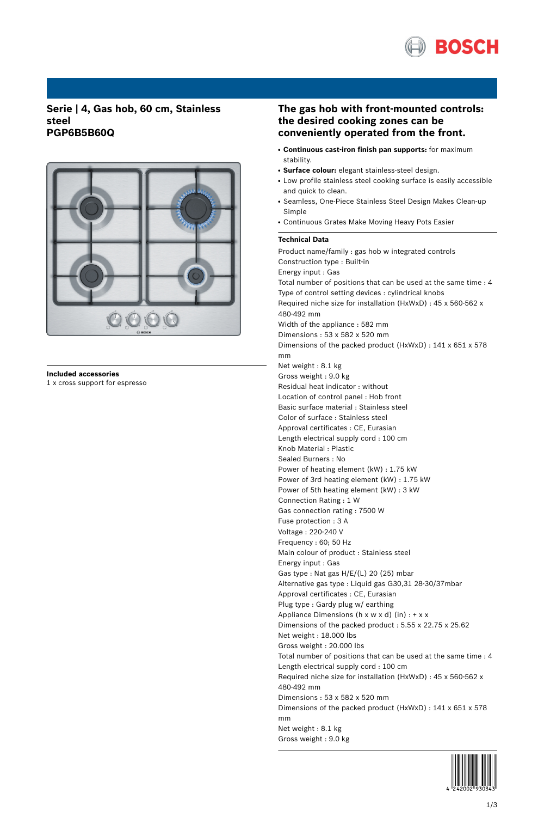

## **Serie | 4, Gas hob, 60 cm, Stainless steel PGP6B5B60Q**



# **Included accessories**

1 x cross support for espresso

## **The gas hob with front-mounted controls: the desired cooking zones can be conveniently operated from the front.**

- **Continuous cast-iron finish pan supports:** for maximum stability.
- **Surface colour:** elegant stainless-steel design.
- Low profile stainless steel cooking surface is easily accessible and quick to clean.
- Seamless, One-Piece Stainless Steel Design Makes Clean-up Simple
- Continuous Grates Make Moving Heavy Pots Easier

## **Technical Data**

Product name/family : gas hob w integrated controls Construction type : Built-in Energy input : Gas Total number of positions that can be used at the same time : 4 Type of control setting devices : cylindrical knobs Required niche size for installation (HxWxD) : 45 x 560-562 x 480-492 mm Width of the appliance : 582 mm Dimensions : 53 x 582 x 520 mm Dimensions of the packed product (HxWxD) : 141 x 651 x 578 mm Net weight : 8.1 kg Gross weight : 9.0 kg Residual heat indicator : without Location of control panel : Hob front Basic surface material : Stainless steel Color of surface : Stainless steel Approval certificates : CE, Eurasian Length electrical supply cord : 100 cm Knob Material : Plastic Sealed Burners : No Power of heating element (kW) : 1.75 kW Power of 3rd heating element (kW) : 1.75 kW Power of 5th heating element (kW) : 3 kW Connection Rating : 1 W Gas connection rating : 7500 W Fuse protection : 3 A Voltage : 220-240 V Frequency : 60; 50 Hz Main colour of product : Stainless steel Energy input : Gas Gas type : Nat gas H/E/(L) 20 (25) mbar Alternative gas type : Liquid gas G30,31 28-30/37mbar Approval certificates : CE, Eurasian Plug type : Gardy plug w/ earthing Appliance Dimensions ( $h \times w \times d$ ) (in) : +  $x \times x$ Dimensions of the packed product : 5.55 x 22.75 x 25.62 Net weight : 18.000 lbs Gross weight : 20.000 lbs Total number of positions that can be used at the same time : 4 Length electrical supply cord : 100 cm Required niche size for installation (HxWxD) : 45 x 560-562 x 480-492 mm Dimensions : 53 x 582 x 520 mm Dimensions of the packed product (HxWxD) : 141 x 651 x 578 mm Net weight : 8.1 kg Gross weight : 9.0 kg

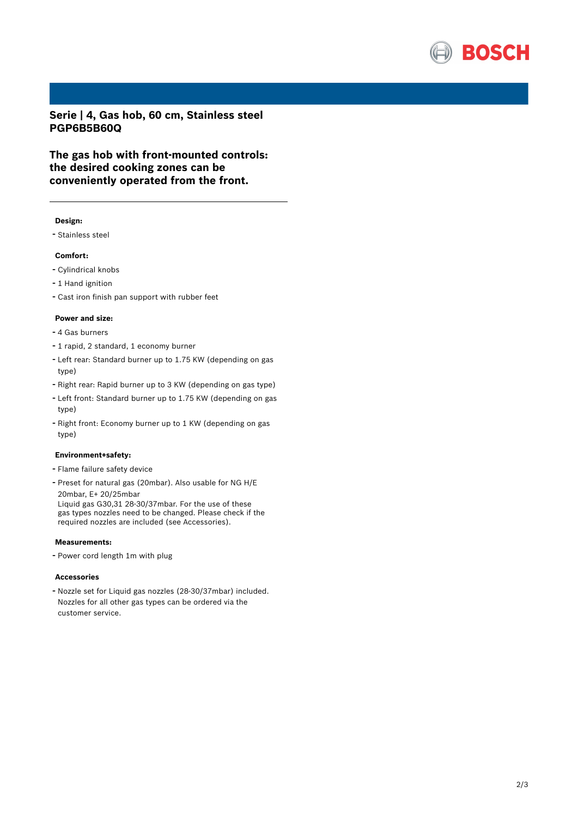

**Serie | 4, Gas hob, 60 cm, Stainless steel PGP6B5B60Q**

**The gas hob with front-mounted controls: the desired cooking zones can be conveniently operated from the front.**

### **Design:**

- Stainless steel

#### **Comfort:**

- Cylindrical knobs
- 1 Hand ignition
- Cast iron finish pan support with rubber feet

#### **Power and size:**

- <sup>4</sup> Gas burners
- <sup>1</sup> rapid, <sup>2</sup> standard, <sup>1</sup> economy burner
- Left rear: Standard burner up to 1.75 KW (depending on gas type)
- Right rear: Rapid burner up to <sup>3</sup> KW (depending on gas type)
- Left front: Standard burner up to 1.75 KW (depending on gas type)
- Right front: Economy burner up to <sup>1</sup> KW (depending on gas type)

#### **Environment+safety:**

- Flame failure safety device
- Preset for natural gas (20mbar). Also usable for NG H/E 20mbar, E+ 20/25mbar

Liquid gas G30,31 28-30/37mbar. For the use of these gas types nozzles need to be changed. Please check if the required nozzles are included (see Accessories).

### **Measurements:**

- Power cord length 1m with plug

#### **Accessories**

- Nozzle set for Liquid gas nozzles (28-30/37mbar) included. Nozzles for all other gas types can be ordered via the customer service.